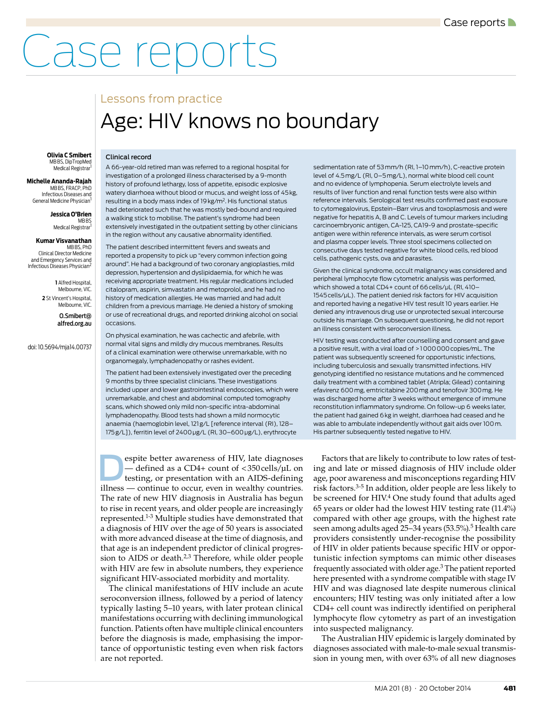## Case reports

Clinical record

## Lessons from practice Age: HIV knows no boundary

**Olivia C Smibert** MB BS, DipTropMed Medical Registrar

**Michelle Ananda-Rajah** MB BS, FRACP, PhD Infectious Diseases and General Medicine Physician<sup>1</sup>

**Jessica O'Brien**

MB BS<br>Medical Registrar<sup>1</sup>

## **Kumar Visvanathan**

MB BS, PhD Clinical Director Medicine and Emergency Services and Infectious Diseases Physician<sup>2</sup>

> **1** Alfred Hospital, Melbourne, VIC. **2** St Vincent's Hospital, Melbourne, VIC.

> > O.Smibert@ alfred.org.au

doi: 10.5694/mja14.00737

A 66-year-old retired man was referred to a regional hospital for investigation of a prolonged illness characterised by a 9-month history of profound lethargy, loss of appetite, episodic explosive watery diarrhoea without blood or mucus, and weight loss of 45 kg, resulting in a body mass index of 19 kg/m2. His functional status had deteriorated such that he was mostly bed-bound and required a walking stick to mobilise. The patient's syndrome had been extensively investigated in the outpatient setting by other clinicians in the region without any causative abnormality identified.

The patient described intermittent fevers and sweats and reported a propensity to pick up "every common infection going around". He had a background of two coronary angioplasties, mild depression, hypertension and dyslipidaemia, for which he was receiving appropriate treatment. His regular medications included citalopram, aspirin, simvastatin and metoprolol, and he had no history of medication allergies. He was married and had adult children from a previous marriage. He denied a history of smoking or use of recreational drugs, and reported drinking alcohol on social occasions.

On physical examination, he was cachectic and afebrile, with normal vital signs and mildly dry mucous membranes. Results of a clinical examination were otherwise unremarkable, with no organomegaly, lymphadenopathy or rashes evident.

The patient had been extensively investigated over the preceding 9 months by three specialist clinicians. These investigations included upper and lower gastrointestinal endoscopies, which were unremarkable, and chest and abdominal computed tomography scans, which showed only mild non-specific intra-abdominal lymphadenopathy. Blood tests had shown a mild normocytic anaemia (haemoglobin level, 121 g/L [reference interval (RI), 128-175 g/L]), ferritin level of 2400 μg/L (RI, 30–600 μg/L), erythrocyte

espite better awareness of HIV, late diagnoses<br>
— defined as a CD4+ count of <350 cells/µL on<br>
testing, or presentation with an AIDS-defining<br>
illness — continue to occur. even in wealthy countries. — defined as a CD4+ count of < 350 cells/μL on illness — continue to occur, even in wealthy countries. The rate of new HIV diagnosis in Australia has begun to rise in recent years, and older people are increasingly represented.1-3 Multiple studies have demonstrated that a diagnosis of HIV over the age of 50 years is associated with more advanced disease at the time of diagnosis, and that age is an independent predictor of clinical progression to AIDS or death.<sup>2,3</sup> Therefore, while older people with HIV are few in absolute numbers, they experience significant HIV-associated morbidity and mortality.

The clinical manifestations of HIV include an acute seroconversion illness, followed by a period of latency typically lasting 5–10 years, with later protean clinical manifestations occurring with declining immunological function. Patients often have multiple clinical encounters before the diagnosis is made, emphasising the importance of opportunistic testing even when risk factors are not reported.

sedimentation rate of 53 mm/h (RI, 1–10 mm/h), C-reactive protein level of 4.5 mg/L (RI, 0–5 mg/L), normal white blood cell count and no evidence of lymphopenia. Serum electrolyte levels and results of liver function and renal function tests were also within reference intervals. Serological test results confirmed past exposure to cytomegalovirus, Epstein–Barr virus and toxoplasmosis and were negative for hepatitis A, B and C. Levels of tumour markers including carcinoembryonic antigen, CA-125, CA19-9 and prostate-specific antigen were within reference intervals, as were serum cortisol and plasma copper levels. Three stool specimens collected on consecutive days tested negative for white blood cells, red blood cells, pathogenic cysts, ova and parasites.

Given the clinical syndrome, occult malignancy was considered and peripheral lymphocyte flow cytometric analysis was performed, which showed a total CD4+ count of 66 cells/μL (RI, 410– 1545 cells/μL). The patient denied risk factors for HIV acquisition and reported having a negative HIV test result 10 years earlier. He denied any intravenous drug use or unprotected sexual intercourse outside his marriage. On subsequent questioning, he did not report an illness consistent with seroconversion illness.

HIV testing was conducted after counselling and consent and gave a positive result, with a viral load of > 1 000 000 copies/mL. The patient was subsequently screened for opportunistic infections, including tuberculosis and sexually transmitted infections. HIV genotyping identified no resistance mutations and he commenced daily treatment with a combined tablet (Atripla; Gilead) containing efavirenz 600 mg, emtricitabine 200 mg and tenofovir 300 mg. He was discharged home after 3 weeks without emergence of immune reconstitution inflammatory syndrome. On follow-up 6 weeks later, the patient had gained 6 kg in weight, diarrhoea had ceased and he was able to ambulate independently without gait aids over 100 m. His partner subsequently tested negative to HIV.

Factors that are likely to contribute to low rates of testing and late or missed diagnosis of HIV include older age, poor awareness and misconceptions regarding HIV risk factors.3-5 In addition, older people are less likely to be screened for HIV.4 One study found that adults aged 65 years or older had the lowest HIV testing rate (11.4%) compared with other age groups, with the highest rate seen among adults aged 25–34 years (53.5%).<sup>5</sup> Health care providers consistently under-recognise the possibility of HIV in older patients because specific HIV or opportunistic infection symptoms can mimic other diseases frequently associated with older age.3 The patient reported here presented with a syndrome compatible with stage IV HIV and was diagnosed late despite numerous clinical encounters; HIV testing was only initiated after a low CD4+ cell count was indirectly identified on peripheral lymphocyte flow cytometry as part of an investigation into suspected malignancy.

The Australian HIV epidemic is largely dominated by diagnoses associated with male-to-male sexual transmission in young men, with over 63% of all new diagnoses